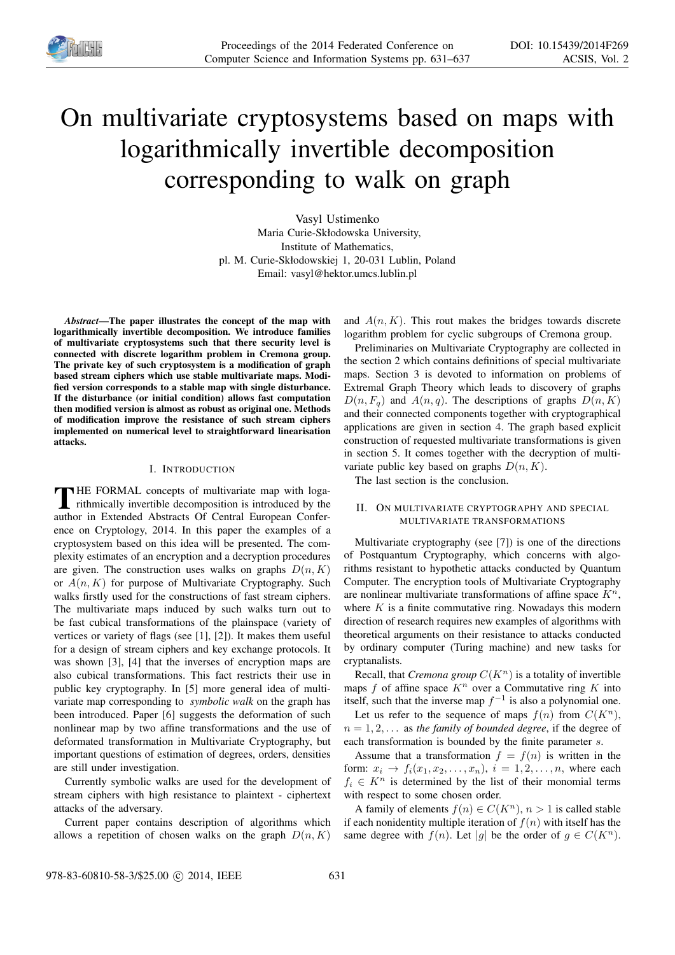

# On multivariate cryptosystems based on maps with logarithmically invertible decomposition corresponding to walk on graph

Vasyl Ustimenko Maria Curie-Skłodowska University, Institute of Mathematics, pl. M. Curie-Skłodowskiej 1, 20-031 Lublin, Poland Email: vasyl@hektor.umcs.lublin.pl

*Abstract*—The paper illustrates the concept of the map with logarithmically invertible decomposition. We introduce families of multivariate cryptosystems such that there security level is connected with discrete logarithm problem in Cremona group. The private key of such cryptosystem is a modification of graph based stream ciphers which use stable multivariate maps. Modified version corresponds to a stable map with single disturbance. If the disturbance (or initial condition) allows fast computation then modified version is almost as robust as original one. Methods of modification improve the resistance of such stream ciphers implemented on numerical level to straightforward linearisation attacks.

#### I. INTRODUCTION

THE FORMAL concepts of multivariate map with loga-<br>rithmically invertible decomposition is introduced by the rithmically invertible decomposition is introduced by the author in Extended Abstracts Of Central European Conference on Cryptology, 2014. In this paper the examples of a cryptosystem based on this idea will be presented. The complexity estimates of an encryption and a decryption procedures are given. The construction uses walks on graphs  $D(n, K)$ or  $A(n, K)$  for purpose of Multivariate Cryptography. Such walks firstly used for the constructions of fast stream ciphers. The multivariate maps induced by such walks turn out to be fast cubical transformations of the plainspace (variety of vertices or variety of flags (see [1], [2]). It makes them useful for a design of stream ciphers and key exchange protocols. It was shown [3], [4] that the inverses of encryption maps are also cubical transformations. This fact restricts their use in public key cryptography. In [5] more general idea of multivariate map corresponding to *symbolic walk* on the graph has been introduced. Paper [6] suggests the deformation of such nonlinear map by two affine transformations and the use of deformated transformation in Multivariate Cryptography, but important questions of estimation of degrees, orders, densities are still under investigation.

Currently symbolic walks are used for the development of stream ciphers with high resistance to plaintext - ciphertext attacks of the adversary.

Current paper contains description of algorithms which allows a repetition of chosen walks on the graph  $D(n, K)$ 

and  $A(n, K)$ . This rout makes the bridges towards discrete logarithm problem for cyclic subgroups of Cremona group.

Preliminaries on Multivariate Cryptography are collected in the section 2 which contains definitions of special multivariate maps. Section 3 is devoted to information on problems of Extremal Graph Theory which leads to discovery of graphs  $D(n, F_q)$  and  $A(n, q)$ . The descriptions of graphs  $D(n, K)$ and their connected components together with cryptographical applications are given in section 4. The graph based explicit construction of requested multivariate transformations is given in section 5. It comes together with the decryption of multivariate public key based on graphs  $D(n, K)$ .

The last section is the conclusion.

#### II. ON MULTIVARIATE CRYPTOGRAPHY AND SPECIAL MULTIVARIATE TRANSFORMATIONS

Multivariate cryptography (see [7]) is one of the directions of Postquantum Cryptography, which concerns with algorithms resistant to hypothetic attacks conducted by Quantum Computer. The encryption tools of Multivariate Cryptography are nonlinear multivariate transformations of affine space  $K<sup>n</sup>$ , where  $K$  is a finite commutative ring. Nowadays this modern direction of research requires new examples of algorithms with theoretical arguments on their resistance to attacks conducted by ordinary computer (Turing machine) and new tasks for cryptanalists.

Recall, that *Cremona group*  $C(K^n)$  is a totality of invertible maps  $f$  of affine space  $K^n$  over a Commutative ring  $K$  into itself, such that the inverse map  $f^{-1}$  is also a polynomial one. Let us refer to the sequence of maps  $f(n)$  from  $C(K^n)$ ,  $n = 1, 2, \ldots$  as the family of bounded degree, if the degree of each transformation is bounded by the finite parameter s.

Assume that a transformation  $f = f(n)$  is written in the form:  $x_i \rightarrow f_i(x_1, x_2, \ldots, x_n), i = 1, 2, \ldots, n$ , where each  $f_i \in K^n$  is determined by the list of their monomial terms with respect to some chosen order.

A family of elements  $f(n) \in C(K^n)$ ,  $n > 1$  is called stable if each nonidentity multiple iteration of  $f(n)$  with itself has the same degree with  $f(n)$ . Let |g| be the order of  $g \in C(K^n)$ .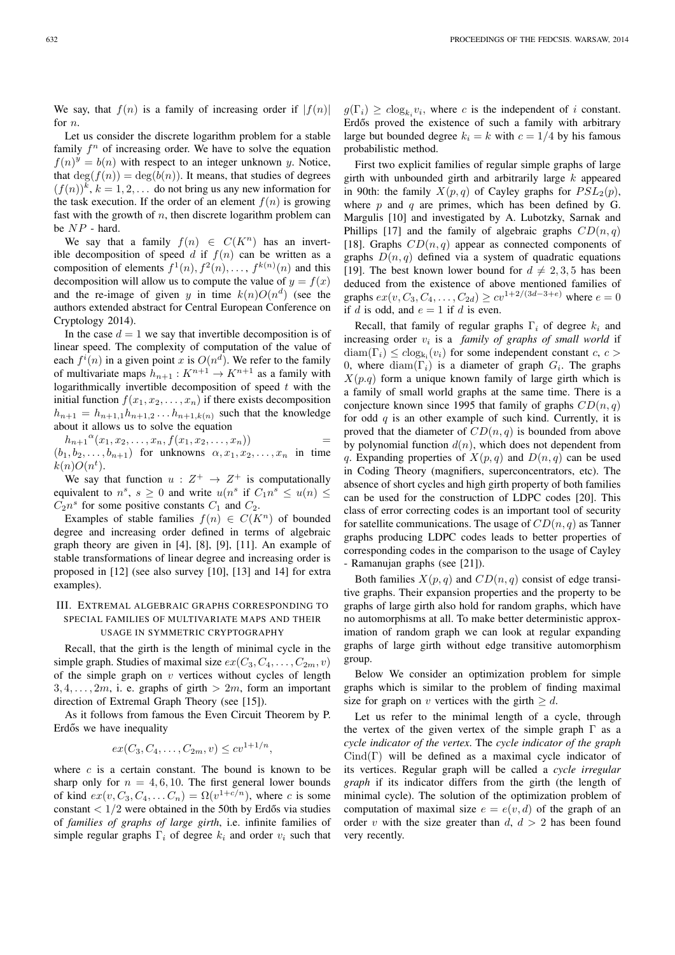We say, that  $f(n)$  is a family of increasing order if  $|f(n)|$ for  $n$ .

Let us consider the discrete logarithm problem for a stable family  $f^n$  of increasing order. We have to solve the equation  $f(n)^y = b(n)$  with respect to an integer unknown y. Notice, that  $deg(f(n)) = deg(b(n))$ . It means, that studies of degrees  $(f(n))$ <sup>k</sup>,  $k = 1, 2, \ldots$  do not bring us any new information for the task execution. If the order of an element  $f(n)$  is growing fast with the growth of  $n$ , then discrete logarithm problem can be NP - hard.

We say that a family  $f(n) \in C(K^n)$  has an invertible decomposition of speed d if  $f(n)$  can be written as a composition of elements  $f^1(n)$ ,  $f^2(n)$ , ...,  $f^{k(n)}(n)$  and this decomposition will allow us to compute the value of  $y = f(x)$ and the re-image of given y in time  $k(n)O(n^d)$  (see the authors extended abstract for Central European Conference on Cryptology 2014).

In the case  $d = 1$  we say that invertible decomposition is of linear speed. The complexity of computation of the value of each  $f^{i}(n)$  in a given point x is  $O(n^{d})$ . We refer to the family of multivariate maps  $h_{n+1}: K^{n+1} \to K^{n+1}$  as a family with logarithmically invertible decomposition of speed  $t$  with the initial function  $f(x_1, x_2, \ldots, x_n)$  if there exists decomposition  $h_{n+1} = h_{n+1,1}h_{n+1,2} \ldots h_{n+1,k(n)}$  such that the knowledge about it allows us to solve the equation

 $h_{n+1}^{a}(x_1, x_2, \ldots, x_n, f(x_1, x_2, \ldots, x_n))$  =

 $(b_1, b_2, \ldots, b_{n+1})$  for unknowns  $\alpha, x_1, x_2, \ldots, x_n$  in time  $k(n)O(n^t)$ .

We say that function  $u: Z^+ \to Z^+$  is computationally equivalent to  $n^s$ ,  $s \geq 0$  and write  $u(n^s)$  if  $C_1 n^s \leq u(n) \leq$  $C_2 n^s$  for some positive constants  $C_1$  and  $C_2$ .

Examples of stable families  $f(n) \in C(K^n)$  of bounded degree and increasing order defined in terms of algebraic graph theory are given in [4], [8], [9], [11]. An example of stable transformations of linear degree and increasing order is proposed in [12] (see also survey [10], [13] and 14] for extra examples).

### III. EXTREMAL ALGEBRAIC GRAPHS CORRESPONDING TO SPECIAL FAMILIES OF MULTIVARIATE MAPS AND THEIR USAGE IN SYMMETRIC CRYPTOGRAPHY

Recall, that the girth is the length of minimal cycle in the simple graph. Studies of maximal size  $ex(C_3, C_4, \ldots, C_{2m}, v)$ of the simple graph on  $v$  vertices without cycles of length  $3, 4, \ldots, 2m$ , i. e. graphs of girth  $> 2m$ , form an important direction of Extremal Graph Theory (see [15]).

As it follows from famous the Even Circuit Theorem by P. Erdős we have inequality

$$
ex(C_3, C_4, \ldots, C_{2m}, v) \leq cv^{1+1/n},
$$

where  $c$  is a certain constant. The bound is known to be sharp only for  $n = 4, 6, 10$ . The first general lower bounds of kind  $ex(v, C_3, C_4, \ldots C_n) = \Omega(v^{1+c/n})$ , where c is some constant  $\langle 1/2 \rangle$  were obtained in the 50th by Erdős via studies of *families of graphs of large girth*, i.e. infinite families of simple regular graphs  $\Gamma_i$  of degree  $k_i$  and order  $v_i$  such that

 $g(\Gamma_i) \geq c \log_{k_i} v_i$ , where c is the independent of i constant. Erdős proved the existence of such a family with arbitrary large but bounded degree  $k_i = k$  with  $c = 1/4$  by his famous probabilistic method.

First two explicit families of regular simple graphs of large girth with unbounded girth and arbitrarily large  $k$  appeared in 90th: the family  $X(p,q)$  of Cayley graphs for  $PSL_2(p)$ , where  $p$  and  $q$  are primes, which has been defined by G. Margulis [10] and investigated by A. Lubotzky, Sarnak and Phillips [17] and the family of algebraic graphs  $CD(n, q)$ [18]. Graphs  $CD(n, q)$  appear as connected components of graphs  $D(n, q)$  defined via a system of quadratic equations [19]. The best known lower bound for  $d \neq 2, 3, 5$  has been deduced from the existence of above mentioned families of graphs  $ex(v, C_3, C_4, \ldots, C_{2d}) \geq cv^{1+2/(3d-3+e)}$  where  $e = 0$ if d is odd, and  $e = 1$  if d is even.

Recall, that family of regular graphs  $\Gamma_i$  of degree  $k_i$  and increasing order  $v_i$  is a *family of graphs of small world* if  $\text{diam}(\Gamma_i) \leq c \log_{k_i}(v_i)$  for some independent constant  $c, c >$ 0, where  $\text{diam}(\Gamma_i)$  is a diameter of graph  $G_i$ . The graphs  $X(p,q)$  form a unique known family of large girth which is a family of small world graphs at the same time. There is a conjecture known since 1995 that family of graphs  $CD(n, q)$ for odd  $q$  is an other example of such kind. Currently, it is proved that the diameter of  $CD(n, q)$  is bounded from above by polynomial function  $d(n)$ , which does not dependent from q. Expanding properties of  $X(p, q)$  and  $D(n, q)$  can be used in Coding Theory (magnifiers, superconcentrators, etc). The absence of short cycles and high girth property of both families can be used for the construction of LDPC codes [20]. This class of error correcting codes is an important tool of security for satellite communications. The usage of  $CD(n, q)$  as Tanner graphs producing LDPC codes leads to better properties of corresponding codes in the comparison to the usage of Cayley - Ramanujan graphs (see [21]).

Both families  $X(p, q)$  and  $CD(n, q)$  consist of edge transitive graphs. Their expansion properties and the property to be graphs of large girth also hold for random graphs, which have no automorphisms at all. To make better deterministic approximation of random graph we can look at regular expanding graphs of large girth without edge transitive automorphism group.

Below We consider an optimization problem for simple graphs which is similar to the problem of finding maximal size for graph on v vertices with the girth  $\geq d$ .

Let us refer to the minimal length of a cycle, through the vertex of the given vertex of the simple graph  $\Gamma$  as a *cycle indicator of the vertex*. The *cycle indicator of the graph*  $Cind(\Gamma)$  will be defined as a maximal cycle indicator of its vertices. Regular graph will be called a *cycle irregular graph* if its indicator differs from the girth (the length of minimal cycle). The solution of the optimization problem of computation of maximal size  $e = e(v, d)$  of the graph of an order v with the size greater than  $d, d > 2$  has been found very recently.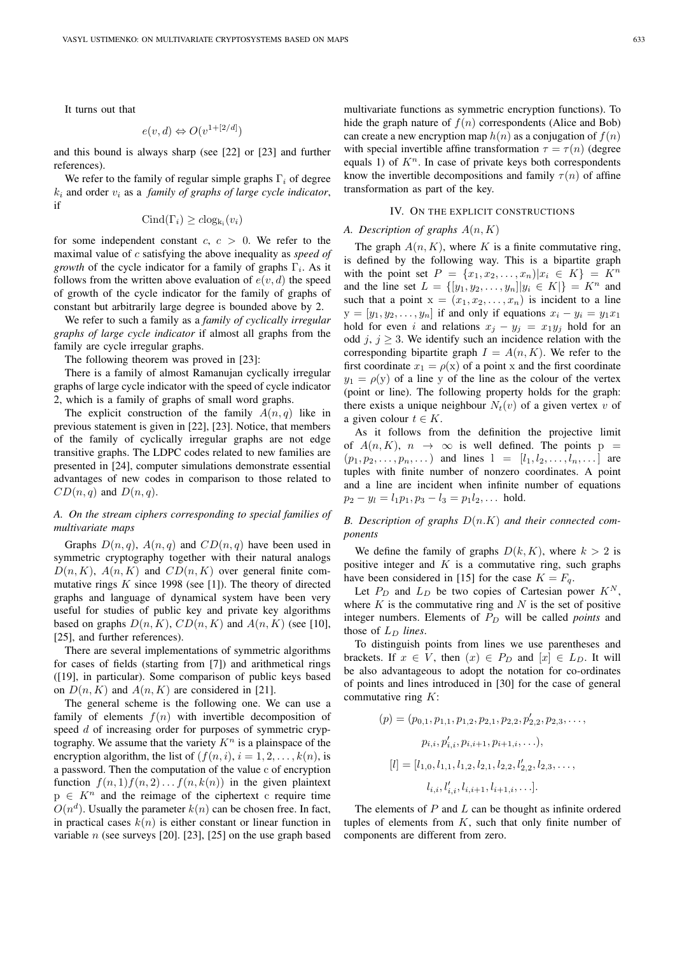It turns out that

$$
e(v, d) \Leftrightarrow O(v^{1+[2/d]})
$$

and this bound is always sharp (see [22] or [23] and further references).

We refer to the family of regular simple graphs  $\Gamma_i$  of degree  $k_i$  and order  $v_i$  as a *family of graphs of large cycle indicator*, if

$$
Cind(\Gamma_i) \geq clog_{k_i}(v_i)
$$

for some independent constant  $c, c > 0$ . We refer to the maximal value of c satisfying the above inequality as *speed of growth* of the cycle indicator for a family of graphs  $\Gamma_i$ . As it follows from the written above evaluation of  $e(v, d)$  the speed of growth of the cycle indicator for the family of graphs of constant but arbitrarily large degree is bounded above by 2.

We refer to such a family as a *family of cyclically irregular graphs of large cycle indicator* if almost all graphs from the family are cycle irregular graphs.

The following theorem was proved in [23]:

There is a family of almost Ramanujan cyclically irregular graphs of large cycle indicator with the speed of cycle indicator 2, which is a family of graphs of small word graphs.

The explicit construction of the family  $A(n, q)$  like in previous statement is given in [22], [23]. Notice, that members of the family of cyclically irregular graphs are not edge transitive graphs. The LDPC codes related to new families are presented in [24], computer simulations demonstrate essential advantages of new codes in comparison to those related to  $CD(n, q)$  and  $D(n, q)$ .

#### *A. On the stream ciphers corresponding to special families of multivariate maps*

Graphs  $D(n, q)$ ,  $A(n, q)$  and  $CD(n, q)$  have been used in symmetric cryptography together with their natural analogs  $D(n, K)$ ,  $A(n, K)$  and  $CD(n, K)$  over general finite commutative rings  $K$  since 1998 (see [1]). The theory of directed graphs and language of dynamical system have been very useful for studies of public key and private key algorithms based on graphs  $D(n, K)$ ,  $CD(n, K)$  and  $A(n, K)$  (see [10], [25], and further references).

There are several implementations of symmetric algorithms for cases of fields (starting from [7]) and arithmetical rings ([19], in particular). Some comparison of public keys based on  $D(n, K)$  and  $A(n, K)$  are considered in [21].

The general scheme is the following one. We can use a family of elements  $f(n)$  with invertible decomposition of speed d of increasing order for purposes of symmetric cryptography. We assume that the variety  $K<sup>n</sup>$  is a plainspace of the encryption algorithm, the list of  $(f(n, i), i = 1, 2, \ldots, k(n))$ , is a password. Then the computation of the value c of encryption function  $f(n, 1) f(n, 2) \dots f(n, k(n))$  in the given plaintext  $p \in K<sup>n</sup>$  and the reimage of the ciphertext c require time  $O(n^d)$ . Usually the parameter  $k(n)$  can be chosen free. In fact, in practical cases  $k(n)$  is either constant or linear function in variable  $n$  (see surveys [20]. [23], [25] on the use graph based

multivariate functions as symmetric encryption functions). To hide the graph nature of  $f(n)$  correspondents (Alice and Bob) can create a new encryption map  $h(n)$  as a conjugation of  $f(n)$ with special invertible affine transformation  $\tau = \tau(n)$  (degree equals 1) of  $K<sup>n</sup>$ . In case of private keys both correspondents know the invertible decompositions and family  $\tau(n)$  of affine transformation as part of the key.

#### IV. ON THE EXPLICIT CONSTRUCTIONS

#### *A. Description of graphs* A(n, K)

The graph  $A(n, K)$ , where K is a finite commutative ring, is defined by the following way. This is a bipartite graph with the point set  $P = \{x_1, x_2, ..., x_n | x_i \in K\} = K^n$ and the line set  $L = \{ [y_1, y_2, \dots, y_n] | y_i \in K \} = K^n$  and such that a point  $x = (x_1, x_2, \ldots, x_n)$  is incident to a line  $y = [y_1, y_2, \dots, y_n]$  if and only if equations  $x_i - y_i = y_1 x_1$ hold for even i and relations  $x_j - y_j = x_1 y_j$  hold for an odd j,  $j \geq 3$ . We identify such an incidence relation with the corresponding bipartite graph  $I = A(n, K)$ . We refer to the first coordinate  $x_1 = \rho(x)$  of a point x and the first coordinate  $y_1 = \rho(y)$  of a line y of the line as the colour of the vertex (point or line). The following property holds for the graph: there exists a unique neighbour  $N_t(v)$  of a given vertex v of a given colour  $t \in K$ .

As it follows from the definition the projective limit of  $A(n, K)$ ,  $n \rightarrow \infty$  is well defined. The points  $p =$  $(p_1, p_2, \ldots, p_n, \ldots)$  and lines  $l = [l_1, l_2, \ldots, l_n, \ldots]$  are tuples with finite number of nonzero coordinates. A point and a line are incident when infinite number of equations  $p_2 - y_l = l_1 p_1, p_3 - l_3 = p_1 l_2, \dots$  hold.

*B. Description of graphs* D(n.K) *and their connected components*

We define the family of graphs  $D(k, K)$ , where  $k > 2$  is positive integer and  $K$  is a commutative ring, such graphs have been considered in [15] for the case  $K = F_q$ .

Let  $P_D$  and  $L_D$  be two copies of Cartesian power  $K^N$ , where  $K$  is the commutative ring and  $N$  is the set of positive integer numbers. Elements of  $P_D$  will be called *points* and those of  $L_D$  *lines*.

To distinguish points from lines we use parentheses and brackets. If  $x \in V$ , then  $(x) \in P_D$  and  $[x] \in L_D$ . It will be also advantageous to adopt the notation for co-ordinates of points and lines introduced in [30] for the case of general commutative ring  $K$ :

$$
(p) = (p_{0,1}, p_{1,1}, p_{1,2}, p_{2,1}, p_{2,2}, p'_{2,2}, p_{2,3}, \dots, p_{i,i}, p'_{i,i}, p_{i,i+1}, p_{i+1,i}, \dots),
$$
  
\n
$$
[l] = [l_{1,0}, l_{1,1}, l_{1,2}, l_{2,1}, l_{2,2}, l'_{2,2}, l_{2,3}, \dots, l_{i,i}, l'_{i,i}, l_{i,i+1}, l_{i+1,i}, \dots].
$$

The elements of  $P$  and  $L$  can be thought as infinite ordered tuples of elements from  $K$ , such that only finite number of components are different from zero.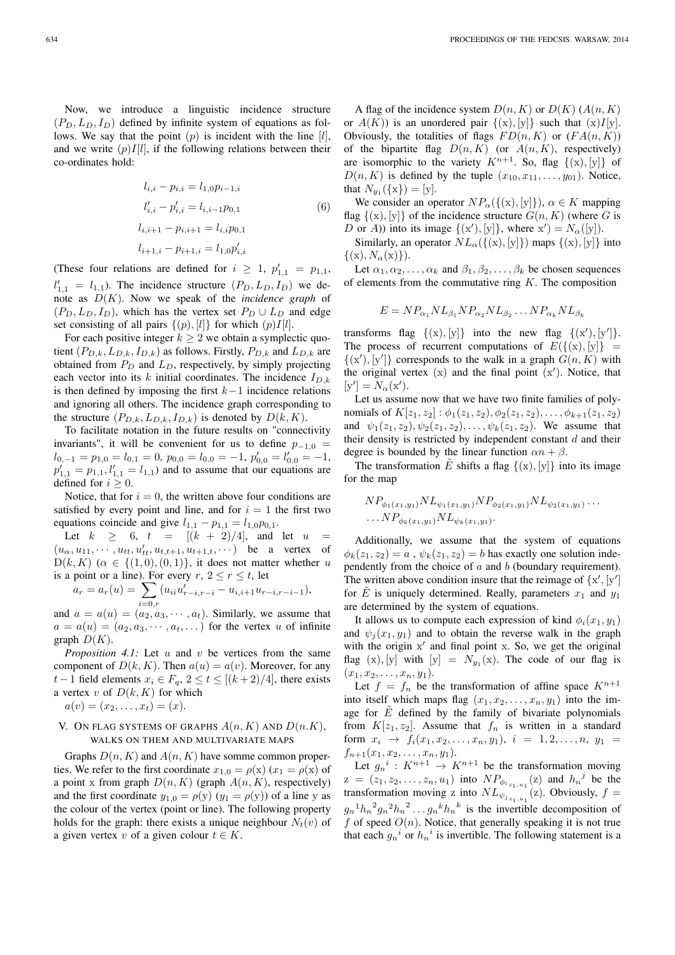Now, we introduce a linguistic incidence structure  $(P_D, L_D, I_D)$  defined by infinite system of equations as follows. We say that the point  $(p)$  is incident with the line  $[l]$ , and we write  $(p)I[l]$ , if the following relations between their co-ordinates hold:

$$
l_{i,i} - p_{i,i} = l_{1,0}p_{i-1,i}
$$
  
\n
$$
l'_{i,i} - p'_{i,i} = l_{i,i-1}p_{0,1}
$$
  
\n
$$
l_{i,i+1} - p_{i,i+1} = l_{i,i}p_{0,1}
$$
  
\n
$$
l_{i+1,i} - p_{i+1,i} = l_{1,0}p'_{i,i}
$$
  
\n(6)

(These four relations are defined for  $i \geq 1$ ,  $p'_{1,1} = p_{1,1}$ ,  $l'_{1,1} = l_{1,1}$ ). The incidence structure  $(P_D, L_D, I_D)$  we denote as D(K). Now we speak of the *incidence graph* of  $(P_D, L_D, I_D)$ , which has the vertex set  $P_D \cup L_D$  and edge set consisting of all pairs  $\{(p), [l]\}$  for which  $(p)I[l]$ .

For each positive integer  $k \geq 2$  we obtain a symplectic quotient  $(P_{D,k}, L_{D,k}, I_{D,k})$  as follows. Firstly,  $P_{D,k}$  and  $L_{D,k}$  are obtained from  $P_D$  and  $L_D$ , respectively, by simply projecting each vector into its k initial coordinates. The incidence  $I_{D,k}$ is then defined by imposing the first  $k-1$  incidence relations and ignoring all others. The incidence graph corresponding to the structure  $(P_{D,k}, L_{D,k}, I_{D,k})$  is denoted by  $D(k, K)$ .

To facilitate notation in the future results on "connectivity invariants", it will be convenient for us to define  $p_{-1,0}$  =  $l_{0,-1} = p_{1,0} = l_{0,1} = 0, p_{0,0} = l_{0,0} = -1, p'_{0,0} = l'_{0,0} = -1,$  $p'_{1,1} = p_{1,1}, l'_{1,1} = l_{1,1}$  and to assume that our equations are defined for  $i \geq 0$ .

Notice, that for  $i = 0$ , the written above four conditions are satisfied by every point and line, and for  $i = 1$  the first two equations coincide and give  $l_{1,1} - p_{1,1} = l_{1,0}p_{0,1}$ .

Let  $k \geq 6$ ,  $t = [(k + 2)/4]$ , and let u  $(u_{\alpha}, u_{11}, \cdots, u_{tt}, u'_{tt}, u_{t,t+1}, u_{t+1,t}, \cdots)$  be a vertex of  $D(k, K)$  ( $\alpha \in \{(1, 0), (0, 1)\}\$ , it does not matter whether u is a point or a line). For every  $r, 2 \le r \le t$ , let

$$
a_r = a_r(u) = \sum_{i=0,r} (u_{ii}u'_{r-i,r-i} - u_{i,i+1}u_{r-i,r-i-1}),
$$

and  $a = a(u) = (a_2, a_3, \dots, a_t)$ . Similarly, we assume that  $a = a(u) = (a_2, a_3, \dots, a_t, \dots)$  for the vertex u of infinite graph  $D(K)$ .

*Proposition 4.1:* Let u and v be vertices from the same component of  $D(k, K)$ . Then  $a(u) = a(v)$ . Moreover, for any *t* − 1 field elements  $x_i \text{ } \in F_a$ ,  $2 \le t \le [(k+2)/4]$ , there exists a vertex v of  $D(k, K)$  for which  $a(v) = (x_2, \ldots, x_t) = (x).$ 

# V. ON FLAG SYSTEMS OF GRAPHS  $A(n, K)$  and  $D(n, K)$ ,

## WALKS ON THEM AND MULTIVARIATE MAPS

Graphs  $D(n, K)$  and  $A(n, K)$  have somme common properties. We refer to the first coordinate  $x_{1,0} = \rho(x)$   $(x_1 = \rho(x))$  of a point x from graph  $D(n, K)$  (graph  $A(n, K)$ , respectively) and the first coordinate  $y_{1,0} = \rho(y)$   $(y_1 = \rho(y))$  of a line y as the colour of the vertex (point or line). The following property holds for the graph: there exists a unique neighbour  $N_t(v)$  of a given vertex v of a given colour  $t \in K$ .

A flag of the incidence system  $D(n, K)$  or  $D(K)$  (A $(n, K)$ ) or  $A(K)$ ) is an unordered pair  $\{(x), [y]\}$  such that  $(x)I[y]$ . Obviously, the totalities of flags  $FD(n, K)$  or  $(FA(n, K))$ of the bipartite flag  $D(n, K)$  (or  $A(n, K)$ , respectively) are isomorphic to the variety  $K^{n+1}$ . So, flag  $\{(x), [y]\}$  of  $D(n, K)$  is defined by the tuple  $(x_{10}, x_{11}, \ldots, y_{01})$ . Notice, that  $N_{y_1}(\{x\}) = [y]$ .

We consider an operator  $NP_{\alpha}(\{(x), [y]\})$ ,  $\alpha \in K$  mapping flag  $\{(x), [y]\}$  of the incidence structure  $G(n, K)$  (where G is D or A)) into its image  $\{(x')$ , [y] $\}$ , where  $x'$ ) =  $N_\alpha$ ([y]).

Similarly, an operator  $NL_{\alpha}(\{(x), [y]\})$  maps  $\{(x), [y]\}$  into  $\{(x), N_\alpha(x)\}\.$ 

Let  $\alpha_1, \alpha_2, \ldots, \alpha_k$  and  $\beta_1, \beta_2, \ldots, \beta_k$  be chosen sequences of elements from the commutative ring  $K$ . The composition

$$
E = NP_{\alpha_1} NL_{\beta_1} NP_{\alpha_2} NL_{\beta_2} \dots NP_{\alpha_k} NL_{\beta_k}
$$

transforms flag  $\{(x), [y]\}$  into the new flag  $\{(x'), [y']\}.$ The process of recurrent computations of  $E({\{(x), [y]\}} =$  $\{(x')$ ,  $[y']\}$  corresponds to the walk in a graph  $G(n, K)$  with the original vertex  $(x)$  and the final point  $(x')$ . Notice, that  $[y'] = N_{\alpha}(x').$ 

Let us assume now that we have two finite families of polynomials of  $K[z_1, z_2] : \phi_1(z_1, z_2), \phi_2(z_1, z_2), \dots, \phi_{k+1}(z_1, z_2)$ and  $\psi_1(z_1, z_2), \psi_2(z_1, z_2), \dots, \psi_k(z_1, z_2)$ . We assume that their density is restricted by independent constant  $d$  and their degree is bounded by the linear function  $\alpha n + \beta$ .

The transformation  $\tilde{E}$  shifts a flag  $\{(x), [y]\}$  into its image for the map

$$
NP_{\phi_1(x_1,y_1)} NL_{\psi_1(x_1,y_1)} NP_{\phi_2(x_1,y_1)} NL_{\psi_2(x_1,y_1)} \ldots
$$
  
...
$$
NP_{\phi_k(x_1,y_1)} NL_{\psi_k(x_1,y_1)}.
$$

Additionally, we assume that the system of equations  $\phi_k(z_1, z_2) = a$ ,  $\psi_k(z_1, z_2) = b$  has exactly one solution independently from the choice of  $a$  and  $b$  (boundary requirement). The written above condition insure that the reimage of  $\{x', [y']\}$ for  $\tilde{E}$  is uniquely determined. Really, parameters  $x_1$  and  $y_1$ are determined by the system of equations.

It allows us to compute each expression of kind  $\phi_i(x_1, y_1)$ and  $\psi_i(x_1, y_1)$  and to obtain the reverse walk in the graph with the origin x' and final point x. So, we get the original flag  $(x)$ ,  $[y]$  with  $[y] = N_{y_1}(x)$ . The code of our flag is  $(x_1, x_2, \ldots, x_n, y_1).$ 

Let  $f = f_n$  be the transformation of affine space  $K^{n+1}$ into itself which maps flag  $(x_1, x_2, \ldots, x_n, y_1)$  into the image for  $\tilde{E}$  defined by the family of bivariate polynomials from  $K[z_1, z_2]$ . Assume that  $f_n$  is written in a standard form  $x_i \rightarrow f_i(x_1, x_2, \ldots, x_n, y_1), i = 1, 2, \ldots, n, y_1$  $f_{n+1}(x_1, x_2, \ldots, x_n, y_1).$ 

Let  $g_n^i: K^{n+1} \to K^{n+1}$  be the transformation moving  $z = (z_1, z_2, \dots, z_n, u_1)$  into  $NP_{\phi_{i_{z_1},u_1}}(z)$  and  $h_n^j$  be the transformation moving z into  $NL_{\psi_{j_{z_1},u_1}}(z)$ . Obviously,  $f =$  $g_n{}^1h_n{}^2g_n{}^2h_n{}^2\ldots g_n{}^kh_n{}^k$  is the invertible decomposition of  $f$  of speed  $O(n)$ . Notice, that generally speaking it is not true that each  $g_n^i$  or  $h_n^i$  is invertible. The following statement is a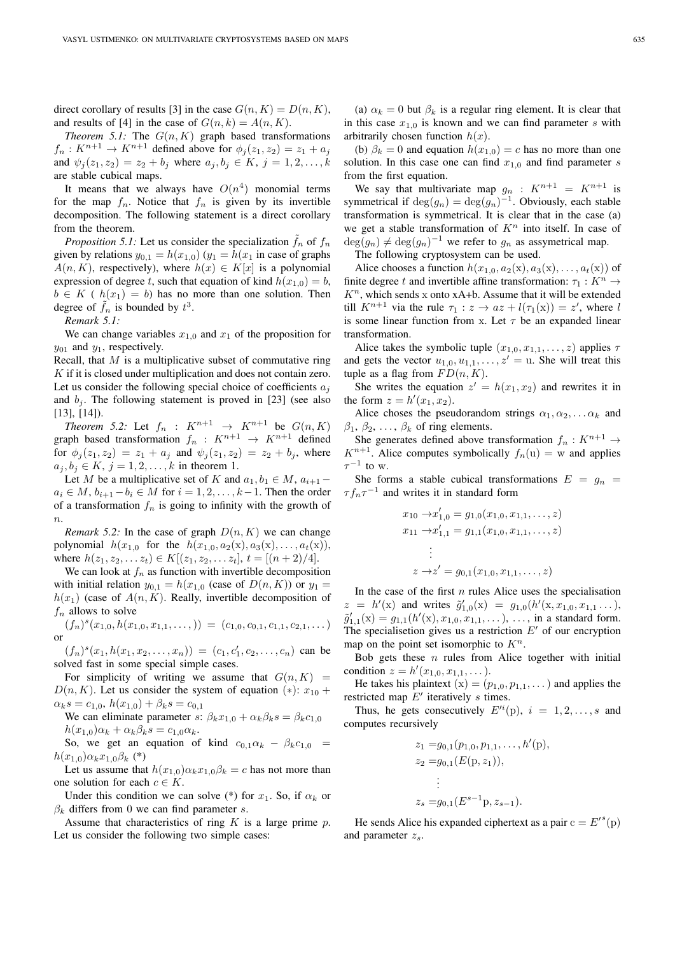direct corollary of results [3] in the case  $G(n, K) = D(n, K)$ , and results of [4] in the case of  $G(n, k) = A(n, K)$ .

*Theorem 5.1:* The  $G(n, K)$  graph based transformations  $f_n: K^{n+1} \to K^{n+1}$  defined above for  $\phi_j(z_1, z_2) = z_1 + a_j$ and  $\psi_j(z_1, z_2) = z_2 + b_j$  where  $a_j, b_j \in K$ ,  $j = 1, 2, ..., k$ are stable cubical maps.

It means that we always have  $O(n^4)$  monomial terms for the map  $f_n$ . Notice that  $f_n$  is given by its invertible decomposition. The following statement is a direct corollary from the theorem.

*Proposition 5.1:* Let us consider the specialization  $\tilde{f}_n$  of  $f_n$ given by relations  $y_{0,1} = h(x_{1,0})$   $(y_1 = h(x_1)$  in case of graphs  $A(n, K)$ , respectively), where  $h(x) \in K[x]$  is a polynomial expression of degree t, such that equation of kind  $h(x_{1,0}) = b$ ,  $b \in K$  (  $h(x_1) = b$ ) has no more than one solution. Then degree of  $\tilde{f}_n$  is bounded by  $t^3$ .

*Remark 5.1:*

We can change variables  $x_{1,0}$  and  $x_1$  of the proposition for  $y_{01}$  and  $y_1$ , respectively.

Recall, that  $M$  is a multiplicative subset of commutative ring K if it is closed under multiplication and does not contain zero. Let us consider the following special choice of coefficients  $a_i$ and  $b_i$ . The following statement is proved in [23] (see also [13], [14]).

*Theorem 5.2:* Let  $f_n$  :  $K^{n+1} \rightarrow K^{n+1}$  be  $G(n, K)$ graph based transformation  $f_n : K^{n+1} \rightarrow K^{n+1}$  defined for  $\phi_i(z_1, z_2) = z_1 + a_j$  and  $\psi_j(z_1, z_2) = z_2 + b_j$ , where  $a_j, b_j \in K, j = 1, 2, ..., k$  in theorem 1.

Let M be a multiplicative set of K and  $a_1, b_1 \in M$ ,  $a_{i+1}$  –  $a_i \in M$ ,  $b_{i+1} - b_i \in M$  for  $i = 1, 2, \ldots, k-1$ . Then the order of a transformation  $f_n$  is going to infinity with the growth of  $n$ 

*Remark 5.2:* In the case of graph  $D(n, K)$  we can change polynomial  $h(x_{1,0}$  for the  $h(x_{1,0}, a_2(x), a_3(x), \ldots, a_t(x))$ , where  $h(z_1, z_2, \ldots z_t) \in K[(z_1, z_2, \ldots z_t], t = [(n+2)/4].$ 

We can look at  $f_n$  as function with invertible decomposition with initial relation  $y_{0,1} = h(x_{1,0} \text{ (case of } D(n,K)) \text{ or } y_1 =$  $h(x_1)$  (case of  $A(n, K)$ . Really, invertible decomposition of  $f_n$  allows to solve

$$
(f_n)^s(x_{1,0}, h(x_{1,0}, x_{1,1}, \ldots))) = (c_{1,0}, c_{0,1}, c_{1,1}, c_{2,1}, \ldots)
$$
or

 $(f_n)^s(x_1, h(x_1, x_2, \ldots, x_n)) = (c_1, c'_1, c_2, \ldots, c_n)$  can be solved fast in some special simple cases.

For simplicity of writing we assume that  $G(n, K)$  =  $D(n, K)$ . Let us consider the system of equation (\*):  $x_{10}$  +  $\alpha_k s = c_{1,0}, h(x_{1,0}) + \beta_k s = c_{0,1}$ 

We can eliminate parameter s:  $\beta_k x_{1,0} + \alpha_k \beta_k s = \beta_k c_{1,0}$  $h(x_{1,0})\alpha_k + \alpha_k\beta_k s = c_{1,0}\alpha_k.$ 

So, we get an equation of kind  $c_{0,1}\alpha_k - \beta_k c_{1,0} =$  $h(x_{1,0})\alpha_k x_{1,0}\beta_k$  (\*)

Let us assume that  $h(x_{1,0})\alpha_k x_{1,0}\beta_k = c$  has not more than one solution for each  $c \in K$ .

Under this condition we can solve (\*) for  $x_1$ . So, if  $\alpha_k$  or  $\beta_k$  differs from 0 we can find parameter s.

Assume that characteristics of ring  $K$  is a large prime  $p$ . Let us consider the following two simple cases:

(a)  $\alpha_k = 0$  but  $\beta_k$  is a regular ring element. It is clear that in this case  $x_{1,0}$  is known and we can find parameter s with arbitrarily chosen function  $h(x)$ .

(b)  $\beta_k = 0$  and equation  $h(x_{1,0}) = c$  has no more than one solution. In this case one can find  $x_{1,0}$  and find parameter s from the first equation.

We say that multivariate map  $g_n$  :  $K^{n+1} = K^{n+1}$  is symmetrical if  $deg(g_n) = deg(g_n)^{-1}$ . Obviously, each stable transformation is symmetrical. It is clear that in the case (a) we get a stable transformation of  $K<sup>n</sup>$  into itself. In case of  $deg(g_n) \neq deg(g_n)^{-1}$  we refer to  $g_n$  as assymetrical map.

The following cryptosystem can be used.

Alice chooses a function  $h(x_{1,0}, a_2(x), a_3(x), \ldots, a_t(x))$  of finite degree t and invertible affine transformation:  $\tau_1 : K^n \to$  $K<sup>n</sup>$ , which sends x onto xA+b. Assume that it will be extended till  $K^{n+1}$  via the rule  $\tau_1 : z \to az + l(\tau_1(x)) = z'$ , where l is some linear function from x. Let  $\tau$  be an expanded linear transformation.

Alice takes the symbolic tuple  $(x_{1,0}, x_{1,1}, \ldots, z)$  applies  $\tau$ and gets the vector  $u_{1,0}, u_{1,1}, \ldots, z' = u$ . She will treat this tuple as a flag from  $FD(n, K)$ .

She writes the equation  $z' = h(x_1, x_2)$  and rewrites it in the form  $z = h'(x_1, x_2)$ .

Alice choses the pseudorandom strings  $\alpha_1, \alpha_2, \ldots, \alpha_k$  and  $\beta_1, \beta_2, \ldots, \beta_k$  of ring elements.

She generates defined above transformation  $f_n: K^{n+1} \to$  $K^{n+1}$ . Alice computes symbolically  $f_n(u) = w$  and applies  $\tau^{-1}$  to w.

She forms a stable cubical transformations  $E = g_n$  $\tau f_n \tau^{-1}$  and writes it in standard form

$$
x_{10} \rightarrow x'_{1,0} = g_{1,0}(x_{1,0}, x_{1,1}, \dots, z)
$$
  
\n
$$
x_{11} \rightarrow x'_{1,1} = g_{1,1}(x_{1,0}, x_{1,1}, \dots, z)
$$
  
\n
$$
\vdots
$$
  
\n
$$
z \rightarrow z' = g_{0,1}(x_{1,0}, x_{1,1}, \dots, z)
$$

In the case of the first  $n$  rules Alice uses the specialisation  $z = h'(x)$  and writes  $\tilde{g}'_{1,0}(x) = g_{1,0}(h'(x, x_{1,0}, x_{1,1} \dots))$  $\tilde{g}'_{1,1}(\mathbf{x}) = g_{1,1}(h'(\mathbf{x}), x_{1,0}, x_{1,1}, \dots), \dots$ , in a standard form. The specialisetion gives us a restriction  $E'$  of our encryption map on the point set isomorphic to  $K<sup>n</sup>$ .

Bob gets these  $n$  rules from Alice together with initial condition  $z = h'(x_{1,0}, x_{1,1}, \dots)$ .

He takes his plaintext  $(x) = (p_{1,0}, p_{1,1}, \dots)$  and applies the restricted map  $E'$  iteratively s times.

Thus, he gets consecutively  $E'^{i}(\mathbf{p}), i = 1, 2, ..., s$  and computes recursively

$$
z_1 = g_{0,1}(p_{1,0}, p_{1,1}, \dots, h'(\mathbf{p}),
$$
  
\n
$$
z_2 = g_{0,1}(E(\mathbf{p}, z_1)),
$$
  
\n
$$
\vdots
$$
  
\n
$$
z_s = g_{0,1}(E^{s-1}\mathbf{p}, z_{s-1}).
$$

He sends Alice his expanded ciphertext as a pair  $c = E^{r s}(p)$ and parameter  $z_s$ .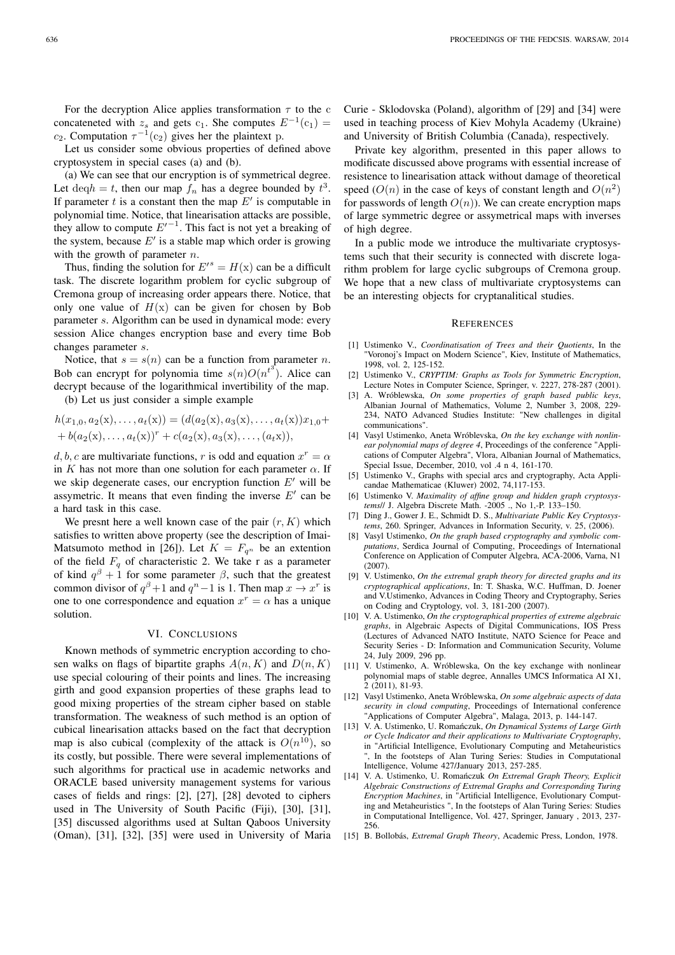For the decryption Alice applies transformation  $\tau$  to the c concateneted with  $z_s$  and gets c<sub>1</sub>. She computes  $E^{-1}(c_1) =$  $c_2$ . Computation  $\tau^{-1}(c_2)$  gives her the plaintext p.

Let us consider some obvious properties of defined above cryptosystem in special cases (a) and (b).

(a) We can see that our encryption is of symmetrical degree. Let  $\text{deq}h = t$ , then our map  $f_n$  has a degree bounded by  $t^3$ . If parameter  $t$  is a constant then the map  $E'$  is computable in polynomial time. Notice, that linearisation attacks are possible, they allow to compute  $E'^{-1}$ . This fact is not yet a breaking of the system, because  $E'$  is a stable map which order is growing with the growth of parameter  $n$ .

Thus, finding the solution for  $E'^s = H(x)$  can be a difficult task. The discrete logarithm problem for cyclic subgroup of Cremona group of increasing order appears there. Notice, that only one value of  $H(x)$  can be given for chosen by Bob parameter s. Algorithm can be used in dynamical mode: every session Alice changes encryption base and every time Bob changes parameter s.

Notice, that  $s = s(n)$  can be a function from parameter n. Bob can encrypt for polynomia time  $s(n)O(n^{t^3})$ . Alice can decrypt because of the logarithmical invertibility of the map.

(b) Let us just consider a simple example

$$
h(x_{1,0}, a_2(x), \ldots, a_t(x)) = (d(a_2(x), a_3(x), \ldots, a_t(x))x_{1,0} + b(a_2(x), \ldots, a_t(x))^r + c(a_2(x), a_3(x), \ldots, (a_t x)),
$$

d, b, c are multivariate functions, r is odd and equation  $x^r = \alpha$ in K has not more than one solution for each parameter  $\alpha$ . If we skip degenerate cases, our encryption function  $E'$  will be assymetric. It means that even finding the inverse  $E'$  can be a hard task in this case.

We presnt here a well known case of the pair  $(r, K)$  which satisfies to written above property (see the description of Imai-Matsumoto method in [26]). Let  $K = F_{q^n}$  be an extention of the field  $F_q$  of characteristic 2. We take r as a parameter of kind  $q^{\beta} + 1$  for some parameter  $\beta$ , such that the greatest common divisor of  $q^{\beta}+1$  and  $q^{n}-1$  is 1. Then map  $x \to x^{r}$  is one to one correspondence and equation  $x^r = \alpha$  has a unique solution.

#### VI. CONCLUSIONS

Known methods of symmetric encryption according to chosen walks on flags of bipartite graphs  $A(n, K)$  and  $D(n, K)$ use special colouring of their points and lines. The increasing girth and good expansion properties of these graphs lead to good mixing properties of the stream cipher based on stable transformation. The weakness of such method is an option of cubical linearisation attacks based on the fact that decryption map is also cubical (complexity of the attack is  $O(n^{10})$ , so its costly, but possible. There were several implementations of such algorithms for practical use in academic networks and ORACLE based university management systems for various cases of fields and rings: [2], [27], [28] devoted to ciphers used in The University of South Pacific (Fiji), [30], [31], [35] discussed algorithms used at Sultan Qaboos University (Oman), [31], [32], [35] were used in University of Maria Curie - Sklodovska (Poland), algorithm of [29] and [34] were used in teaching process of Kiev Mohyla Academy (Ukraine) and University of British Columbia (Canada), respectively.

Private key algorithm, presented in this paper allows to modificate discussed above programs with essential increase of resistence to linearisation attack without damage of theoretical speed  $(O(n))$  in the case of keys of constant length and  $O(n^2)$ for passwords of length  $O(n)$ ). We can create encryption maps of large symmetric degree or assymetrical maps with inverses of high degree.

In a public mode we introduce the multivariate cryptosystems such that their security is connected with discrete logarithm problem for large cyclic subgroups of Cremona group. We hope that a new class of multivariate cryptosystems can be an interesting objects for cryptanalitical studies.

#### **REFERENCES**

- [1] Ustimenko V., *Coordinatisation of Trees and their Quotients*, In the "Voronoj's Impact on Modern Science", Kiev, Institute of Mathematics, 1998, vol. 2, 125-152.
- [2] Ustimenko V., *CRYPTIM: Graphs as Tools for Symmetric Encryption*, Lecture Notes in Computer Science, Springer, v. 2227, 278-287 (2001).
- [3] A. Wróblewska, *On some properties of graph based public keys*, Albanian Journal of Mathematics, Volume 2, Number 3, 2008, 229- 234, NATO Advanced Studies Institute: "New challenges in digital communications".
- [4] Vasyl Ustimenko, Aneta Wróblevska, *On the key exchange with nonlinear polynomial maps of degree 4*, Proceedings of the conference "Applications of Computer Algebra", Vlora, Albanian Journal of Mathematics, Special Issue, December, 2010, vol .4 n 4, 161-170.
- [5] Ustimenko V., Graphs with special arcs and cryptography, Acta Applicandae Mathematicae (Kluwer) 2002, 74,117-153.
- [6] Ustimenko V. *Maximality of affine group and hidden graph cryptosystems*// J. Algebra Discrete Math. -2005 ., No 1,-P. 133–150.
- [7] Ding J., Gower J. E., Schmidt D. S., *Multivariate Public Key Cryptosystems*, 260. Springer, Advances in Information Security, v. 25, (2006).
- [8] Vasyl Ustimenko, *On the graph based cryptography and symbolic computations*, Serdica Journal of Computing, Proceedings of International Conference on Application of Computer Algebra, ACA-2006, Varna, N1  $(2007)$
- [9] V. Ustimenko, *On the extremal graph theory for directed graphs and its cryptographical applications*, In: T. Shaska, W.C. Huffman, D. Joener and V.Ustimenko, Advances in Coding Theory and Cryptography, Series on Coding and Cryptology, vol. 3, 181-200 (2007).
- [10] V. A. Ustimenko, *On the cryptographical properties of extreme algebraic graphs*, in Algebraic Aspects of Digital Communications, IOS Press (Lectures of Advanced NATO Institute, NATO Science for Peace and Security Series - D: Information and Communication Security, Volume 24, July 2009, 296 pp.
- [11] V. Ustimenko, A. Wróblewska, On the key exchange with nonlinear polynomial maps of stable degree, Annalles UMCS Informatica AI X1, 2 (2011), 81-93.
- [12] Vasyl Ustimenko, Aneta Wróblewska, *On some algebraic aspects of data security in cloud computing*, Proceedings of International conference "Applications of Computer Algebra", Malaga, 2013, p. 144-147.
- [13] V. A. Ustimenko, U. Romańczuk, On Dynamical Systems of Large Girth *or Cycle Indicator and their applications to Multivariate Cryptography*, in "Artificial Intelligence, Evolutionary Computing and Metaheuristics ", In the footsteps of Alan Turing Series: Studies in Computational Intelligence, Volume 427/January 2013, 257-285.
- [14] V. A. Ustimenko, U. Romańczuk On Extremal Graph Theory, Explicit *Algebraic Constructions of Extremal Graphs and Corresponding Turing Encryption Machines*, in "Artificial Intelligence, Evolutionary Computing and Metaheuristics ", In the footsteps of Alan Turing Series: Studies in Computational Intelligence, Vol. 427, Springer, January , 2013, 237- 256.
- [15] B. Bollobás, *Extremal Graph Theory*, Academic Press, London, 1978.